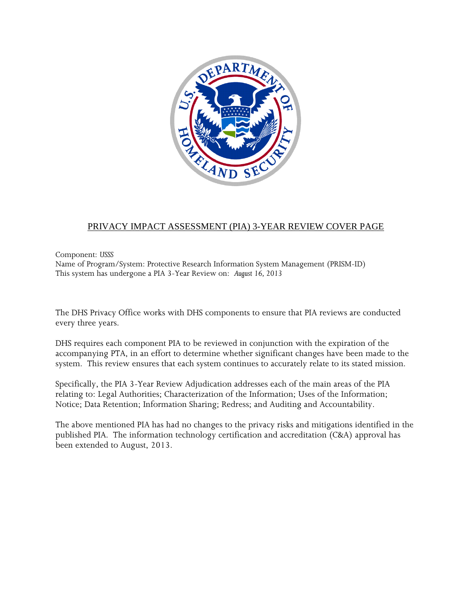

#### PRIVACY IMPACT ASSESSMENT (PIA) 3-YEAR REVIEW COVER PAGE

Component: *USSS* Name of Program/System: Protective Research Information System Management (PRISM-ID) This system has undergone a PIA 3-Year Review on: *August 16, 2013*

The DHS Privacy Office works with DHS components to ensure that PIA reviews are conducted every three years.

DHS requires each component PIA to be reviewed in conjunction with the expiration of the accompanying PTA, in an effort to determine whether significant changes have been made to the system. This review ensures that each system continues to accurately relate to its stated mission.

Specifically, the PIA 3-Year Review Adjudication addresses each of the main areas of the PIA relating to: Legal Authorities; Characterization of the Information; Uses of the Information; Notice; Data Retention; Information Sharing; Redress; and Auditing and Accountability.

The above mentioned PIA has had no changes to the privacy risks and mitigations identified in the published PIA. The information technology certification and accreditation (C&A) approval has been extended to August, 2013.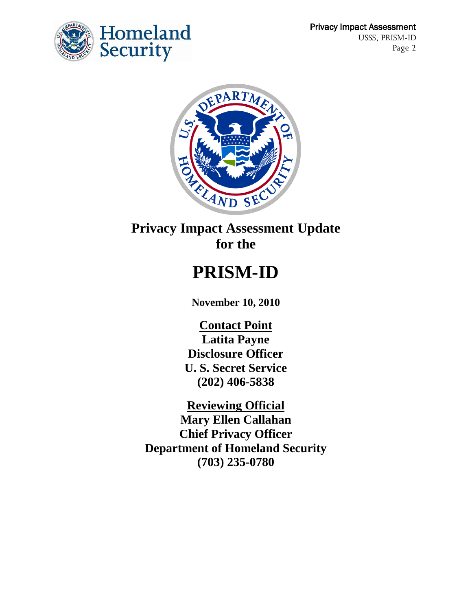



**Privacy Impact Assessment Update for the**

# **PRISM-ID**

**November 10, 2010**

**Contact Point Latita Payne Disclosure Officer U. S. Secret Service (202) 406-5838**

**Reviewing Official Mary Ellen Callahan Chief Privacy Officer Department of Homeland Security (703) 235-0780**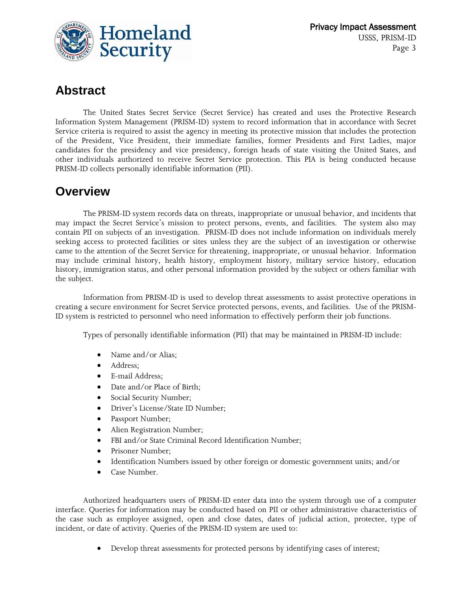

# **Abstract**

The United States Secret Service (Secret Service) has created and uses the Protective Research Information System Management (PRISM-ID) system to record information that in accordance with Secret Service criteria is required to assist the agency in meeting its protective mission that includes the protection of the President, Vice President, their immediate families, former Presidents and First Ladies, major candidates for the presidency and vice presidency, foreign heads of state visiting the United States, and other individuals authorized to receive Secret Service protection. This PIA is being conducted because PRISM-ID collects personally identifiable information (PII).

### **Overview**

The PRISM-ID system records data on threats, inappropriate or unusual behavior, and incidents that may impact the Secret Service's mission to protect persons, events, and facilities. The system also may contain PII on subjects of an investigation. PRISM-ID does not include information on individuals merely seeking access to protected facilities or sites unless they are the subject of an investigation or otherwise came to the attention of the Secret Service for threatening, inappropriate, or unusual behavior. Information may include criminal history, health history, employment history, military service history, education history, immigration status, and other personal information provided by the subject or others familiar with the subject.

Information from PRISM-ID is used to develop threat assessments to assist protective operations in creating a secure environment for Secret Service protected persons, events, and facilities. Use of the PRISM-ID system is restricted to personnel who need information to effectively perform their job functions.

Types of personally identifiable information (PII) that may be maintained in PRISM-ID include:

- Name and/or Alias;
- Address:
- E-mail Address;
- Date and/or Place of Birth;
- Social Security Number;
- Driver's License/State ID Number;
- Passport Number;
- Alien Registration Number;
- FBI and/or State Criminal Record Identification Number;
- Prisoner Number;
- Identification Numbers issued by other foreign or domestic government units; and/or
- Case Number.

Authorized headquarters users of PRISM-ID enter data into the system through use of a computer interface. Queries for information may be conducted based on PII or other administrative characteristics of the case such as employee assigned, open and close dates, dates of judicial action, protectee, type of incident, or date of activity. Queries of the PRISM-ID system are used to:

Develop threat assessments for protected persons by identifying cases of interest;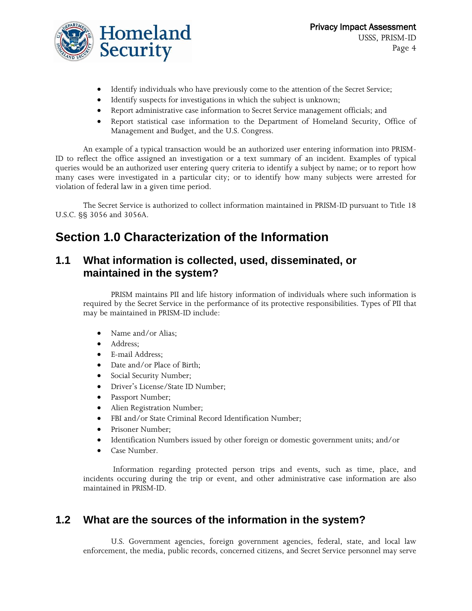

- Identify individuals who have previously come to the attention of the Secret Service;
- Identify suspects for investigations in which the subject is unknown;
- Report administrative case information to Secret Service management officials; and
- Report statistical case information to the Department of Homeland Security, Office of Management and Budget, and the U.S. Congress.

An example of a typical transaction would be an authorized user entering information into PRISM-ID to reflect the office assigned an investigation or a text summary of an incident. Examples of typical queries would be an authorized user entering query criteria to identify a subject by name; or to report how many cases were investigated in a particular city; or to identify how many subjects were arrested for violation of federal law in a given time period.

The Secret Service is authorized to collect information maintained in PRISM-ID pursuant to Title 18 U.S.C. §§ 3056 and 3056A.

### **Section 1.0 Characterization of the Information**

#### **1.1 What information is collected, used, disseminated, or maintained in the system?**

PRISM maintains PII and life history information of individuals where such information is required by the Secret Service in the performance of its protective responsibilities. Types of PII that may be maintained in PRISM-ID include:

- Name and/or Alias;
- Address:
- E-mail Address;
- Date and/or Place of Birth;
- Social Security Number;
- Driver's License/State ID Number;
- Passport Number;
- Alien Registration Number;
- FBI and/or State Criminal Record Identification Number;
- Prisoner Number;
- Identification Numbers issued by other foreign or domestic government units; and/or
- Case Number.

Information regarding protected person trips and events, such as time, place, and incidents occuring during the trip or event, and other administrative case information are also maintained in PRISM-ID.

### **1.2 What are the sources of the information in the system?**

U.S. Government agencies, foreign government agencies, federal, state, and local law enforcement, the media, public records, concerned citizens, and Secret Service personnel may serve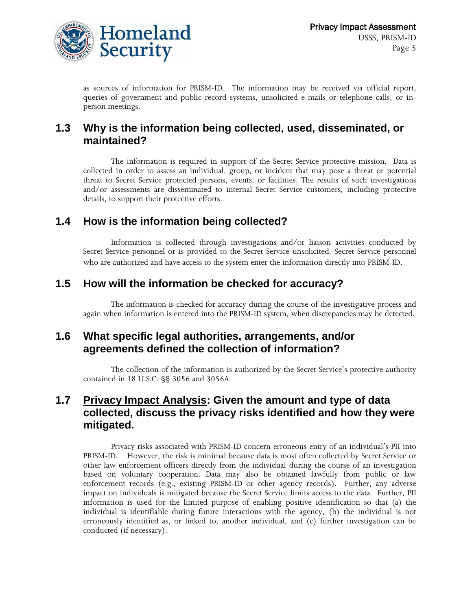

as sources of information for PRISM-ID. The information may be received via official report, queries of government and public record systems, unsolicited e-mails or telephone calls, or inperson meetings.

#### **1.3 Why is the information being collected, used, disseminated, or maintained?**

The information is required in support of the Secret Service protective mission. Data is collected in order to assess an individual, group, or incident that may pose a threat or potential threat to Secret Service protected persons, events, or facilities. The results of such investigations and/or assessments are disseminated to internal Secret Service customers, including protective details, to support their protective efforts.

#### **1.4 How is the information being collected?**

Information is collected through investigations and/or liaison activities conducted by Secret Service personnel or is provided to the Secret Service unsolicited. Secret Service personnel who are authorized and have access to the system enter the information directly into PRISM-ID.

#### **1.5 How will the information be checked for accuracy?**

The information is checked for accuracy during the course of the investigative process and again when information is entered into the PRISM-ID system, when discrepancies may be detected.

#### **1.6 What specific legal authorities, arrangements, and/or agreements defined the collection of information?**

The collection of the information is authorized by the Secret Service's protective authority contained in 18 U.S.C. §§ 3056 and 3056A.

#### **1.7 Privacy Impact Analysis: Given the amount and type of data collected, discuss the privacy risks identified and how they were mitigated.**

Privacy risks associated with PRISM-ID concern erroneous entry of an individual's PII into PRISM-ID. However, the risk is minimal because data is most often collected by Secret Service or other law enforcement officers directly from the individual during the course of an investigation based on voluntary cooperation. Data may also be obtained lawfully from public or law enforcement records (e.g., existing PRISM-ID or other agency records). Further, any adverse impact on individuals is mitigated because the Secret Service limits access to the data. Further, PII information is used for the limited purpose of enabling positive identification so that (a) the individual is identifiable during future interactions with the agency, (b) the individual is not erroneously identified as, or linked to, another individual, and (c) further investigation can be conducted (if necessary).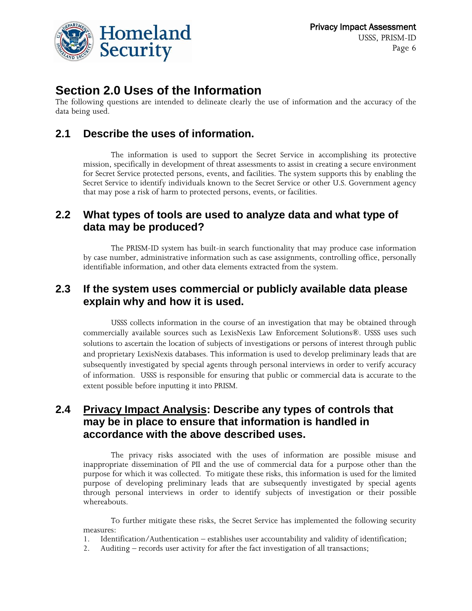

### **Section 2.0 Uses of the Information**

The following questions are intended to delineate clearly the use of information and the accuracy of the data being used.

#### **2.1 Describe the uses of information.**

The information is used to support the Secret Service in accomplishing its protective mission, specifically in development of threat assessments to assist in creating a secure environment for Secret Service protected persons, events, and facilities. The system supports this by enabling the Secret Service to identify individuals known to the Secret Service or other U.S. Government agency that may pose a risk of harm to protected persons, events, or facilities.

#### **2.2 What types of tools are used to analyze data and what type of data may be produced?**

The PRISM-ID system has built-in search functionality that may produce case information by case number, administrative information such as case assignments, controlling office, personally identifiable information, and other data elements extracted from the system.

#### **2.3 If the system uses commercial or publicly available data please explain why and how it is used.**

USSS collects information in the course of an investigation that may be obtained through commercially available sources such as LexisNexis Law Enforcement Solutions®. USSS uses such solutions to ascertain the location of subjects of investigations or persons of interest through public and proprietary LexisNexis databases. This information is used to develop preliminary leads that are subsequently investigated by special agents through personal interviews in order to verify accuracy of information. USSS is responsible for ensuring that public or commercial data is accurate to the extent possible before inputting it into PRISM.

#### **2.4 Privacy Impact Analysis: Describe any types of controls that may be in place to ensure that information is handled in accordance with the above described uses.**

The privacy risks associated with the uses of information are possible misuse and inappropriate dissemination of PII and the use of commercial data for a purpose other than the purpose for which it was collected. To mitigate these risks, this information is used for the limited purpose of developing preliminary leads that are subsequently investigated by special agents through personal interviews in order to identify subjects of investigation or their possible whereabouts.

To further mitigate these risks, the Secret Service has implemented the following security measures:

- 1. Identification/Authentication establishes user accountability and validity of identification;
- 2. Auditing records user activity for after the fact investigation of all transactions;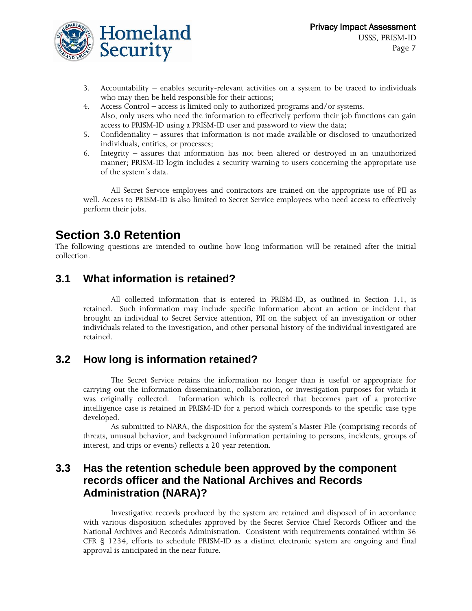

- 3. Accountability enables security-relevant activities on a system to be traced to individuals who may then be held responsible for their actions;
- 4. Access Control access is limited only to authorized programs and/or systems.
- Also, only users who need the information to effectively perform their job functions can gain access to PRISM-ID using a PRISM-ID user and password to view the data;
- 5. Confidentiality assures that information is not made available or disclosed to unauthorized individuals, entities, or processes;
- 6. Integrity assures that information has not been altered or destroyed in an unauthorized manner; PRISM-ID login includes a security warning to users concerning the appropriate use of the system's data.

All Secret Service employees and contractors are trained on the appropriate use of PII as well. Access to PRISM-ID is also limited to Secret Service employees who need access to effectively perform their jobs.

# **Section 3.0 Retention**

The following questions are intended to outline how long information will be retained after the initial collection.

#### **3.1 What information is retained?**

All collected information that is entered in PRISM-ID, as outlined in Section 1.1, is retained. Such information may include specific information about an action or incident that brought an individual to Secret Service attention, PII on the subject of an investigation or other individuals related to the investigation, and other personal history of the individual investigated are retained.

#### **3.2 How long is information retained?**

The Secret Service retains the information no longer than is useful or appropriate for carrying out the information dissemination, collaboration, or investigation purposes for which it was originally collected. Information which is collected that becomes part of a protective intelligence case is retained in PRISM-ID for a period which corresponds to the specific case type developed.

As submitted to NARA, the disposition for the system's Master File (comprising records of threats, unusual behavior, and background information pertaining to persons, incidents, groups of interest, and trips or events) reflects a 20 year retention.

#### **3.3 Has the retention schedule been approved by the component records officer and the National Archives and Records Administration (NARA)?**

Investigative records produced by the system are retained and disposed of in accordance with various disposition schedules approved by the Secret Service Chief Records Officer and the National Archives and Records Administration. Consistent with requirements contained within 36 CFR § 1234, efforts to schedule PRISM-ID as a distinct electronic system are ongoing and final approval is anticipated in the near future.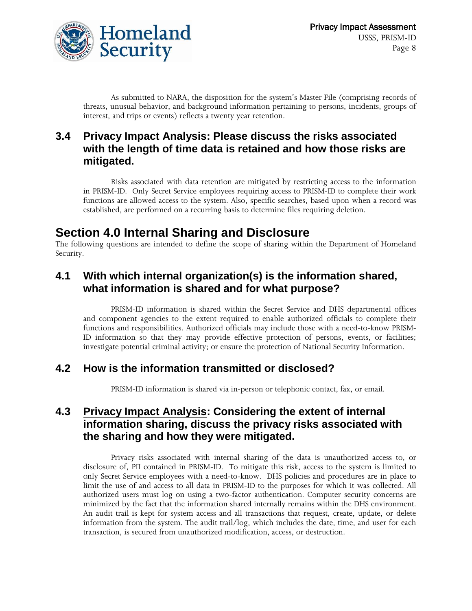

As submitted to NARA, the disposition for the system's Master File (comprising records of threats, unusual behavior, and background information pertaining to persons, incidents, groups of interest, and trips or events) reflects a twenty year retention.

#### **3.4 Privacy Impact Analysis: Please discuss the risks associated with the length of time data is retained and how those risks are mitigated.**

Risks associated with data retention are mitigated by restricting access to the information in PRISM-ID. Only Secret Service employees requiring access to PRISM-ID to complete their work functions are allowed access to the system. Also, specific searches, based upon when a record was established, are performed on a recurring basis to determine files requiring deletion.

### **Section 4.0 Internal Sharing and Disclosure**

The following questions are intended to define the scope of sharing within the Department of Homeland Security.

#### **4.1 With which internal organization(s) is the information shared, what information is shared and for what purpose?**

PRISM-ID information is shared within the Secret Service and DHS departmental offices and component agencies to the extent required to enable authorized officials to complete their functions and responsibilities. Authorized officials may include those with a need-to-know PRISM-ID information so that they may provide effective protection of persons, events, or facilities; investigate potential criminal activity; or ensure the protection of National Security Information.

#### **4.2 How is the information transmitted or disclosed?**

PRISM-ID information is shared via in-person or telephonic contact, fax, or email.

#### **4.3 Privacy Impact Analysis: Considering the extent of internal information sharing, discuss the privacy risks associated with the sharing and how they were mitigated.**

Privacy risks associated with internal sharing of the data is unauthorized access to, or disclosure of, PII contained in PRISM-ID. To mitigate this risk, access to the system is limited to only Secret Service employees with a need-to-know. DHS policies and procedures are in place to limit the use of and access to all data in PRISM-ID to the purposes for which it was collected. All authorized users must log on using a two-factor authentication. Computer security concerns are minimized by the fact that the information shared internally remains within the DHS environment. An audit trail is kept for system access and all transactions that request, create, update, or delete information from the system. The audit trail/log, which includes the date, time, and user for each transaction, is secured from unauthorized modification, access, or destruction.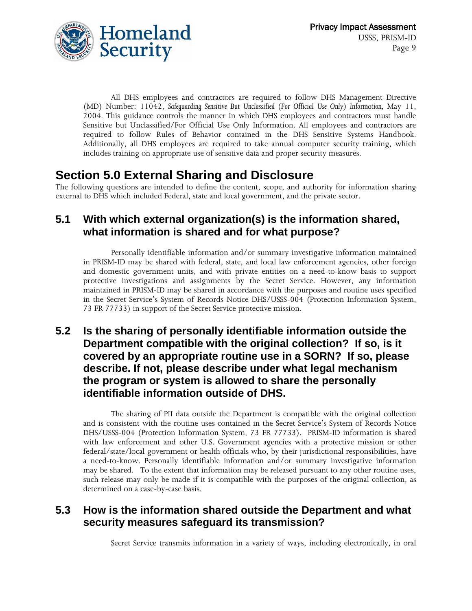

All DHS employees and contractors are required to follow DHS Management Directive (MD) Number: 11042, *Safeguarding Sensitive But Unclassified (For Official Use Only) Information,* May 11, 2004. This guidance controls the manner in which DHS employees and contractors must handle Sensitive but Unclassified/For Official Use Only Information. All employees and contractors are required to follow Rules of Behavior contained in the DHS Sensitive Systems Handbook. Additionally, all DHS employees are required to take annual computer security training, which includes training on appropriate use of sensitive data and proper security measures.

# **Section 5.0 External Sharing and Disclosure**

The following questions are intended to define the content, scope, and authority for information sharing external to DHS which included Federal, state and local government, and the private sector.

#### **5.1 With which external organization(s) is the information shared, what information is shared and for what purpose?**

Personally identifiable information and/or summary investigative information maintained in PRISM-ID may be shared with federal, state, and local law enforcement agencies, other foreign and domestic government units, and with private entities on a need-to-know basis to support protective investigations and assignments by the Secret Service. However, any information maintained in PRISM-ID may be shared in accordance with the purposes and routine uses specified in the Secret Service's System of Records Notice DHS/USSS-004 (Protection Information System, 73 FR 77733) in support of the Secret Service protective mission.

#### **5.2 Is the sharing of personally identifiable information outside the Department compatible with the original collection? If so, is it covered by an appropriate routine use in a SORN? If so, please describe. If not, please describe under what legal mechanism the program or system is allowed to share the personally identifiable information outside of DHS.**

The sharing of PII data outside the Department is compatible with the original collection and is consistent with the routine uses contained in the Secret Service's System of Records Notice DHS/USSS-004 (Protection Information System, 73 FR 77733). PRISM-ID information is shared with law enforcement and other U.S. Government agencies with a protective mission or other federal/state/local government or health officials who, by their jurisdictional responsibilities, have a need-to-know. Personally identifiable information and/or summary investigative information may be shared. To the extent that information may be released pursuant to any other routine uses, such release may only be made if it is compatible with the purposes of the original collection, as determined on a case-by-case basis.

#### **5.3 How is the information shared outside the Department and what security measures safeguard its transmission?**

Secret Service transmits information in a variety of ways, including electronically, in oral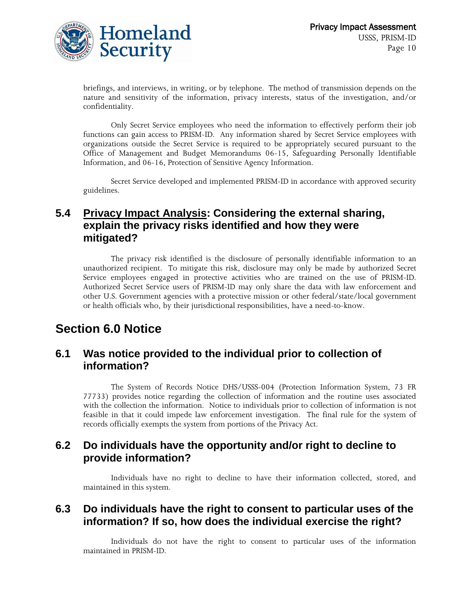

briefings, and interviews, in writing, or by telephone. The method of transmission depends on the nature and sensitivity of the information, privacy interests, status of the investigation, and/or confidentiality.

Only Secret Service employees who need the information to effectively perform their job functions can gain access to PRISM-ID. Any information shared by Secret Service employees with organizations outside the Secret Service is required to be appropriately secured pursuant to the Office of Management and Budget Memorandums 06-15, Safeguarding Personally Identifiable Information, and 06-16, Protection of Sensitive Agency Information.

Secret Service developed and implemented PRISM-ID in accordance with approved security guidelines.

#### **5.4 Privacy Impact Analysis: Considering the external sharing, explain the privacy risks identified and how they were mitigated?**

The privacy risk identified is the disclosure of personally identifiable information to an unauthorized recipient. To mitigate this risk, disclosure may only be made by authorized Secret Service employees engaged in protective activities who are trained on the use of PRISM-ID. Authorized Secret Service users of PRISM-ID may only share the data with law enforcement and other U.S. Government agencies with a protective mission or other federal/state/local government or health officials who, by their jurisdictional responsibilities, have a need-to-know.

### **Section 6.0 Notice**

#### **6.1 Was notice provided to the individual prior to collection of information?**

The System of Records Notice DHS/USSS-004 (Protection Information System, 73 FR 77733) provides notice regarding the collection of information and the routine uses associated with the collection the information. Notice to individuals prior to collection of information is not feasible in that it could impede law enforcement investigation. The final rule for the system of records officially exempts the system from portions of the Privacy Act.

#### **6.2 Do individuals have the opportunity and/or right to decline to provide information?**

Individuals have no right to decline to have their information collected, stored, and maintained in this system.

#### **6.3 Do individuals have the right to consent to particular uses of the information? If so, how does the individual exercise the right?**

Individuals do not have the right to consent to particular uses of the information maintained in PRISM-ID.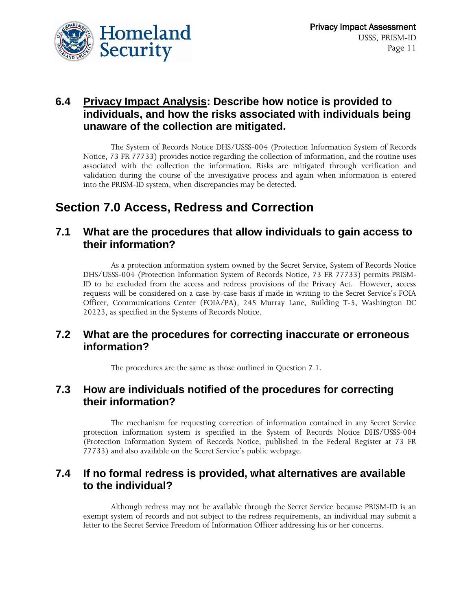

#### **6.4 Privacy Impact Analysis: Describe how notice is provided to individuals, and how the risks associated with individuals being unaware of the collection are mitigated.**

The System of Records Notice DHS/USSS-004 (Protection Information System of Records Notice, 73 FR 77733) provides notice regarding the collection of information, and the routine uses associated with the collection the information. Risks are mitigated through verification and validation during the course of the investigative process and again when information is entered into the PRISM-ID system, when discrepancies may be detected.

### **Section 7.0 Access, Redress and Correction**

#### **7.1 What are the procedures that allow individuals to gain access to their information?**

As a protection information system owned by the Secret Service, System of Records Notice DHS/USSS-004 (Protection Information System of Records Notice, 73 FR 77733) permits PRISM-ID to be excluded from the access and redress provisions of the Privacy Act. However, access requests will be considered on a case-by-case basis if made in writing to the Secret Service's FOIA Officer, Communications Center (FOIA/PA), 245 Murray Lane, Building T-5, Washington DC 20223, as specified in the Systems of Records Notice.

#### **7.2 What are the procedures for correcting inaccurate or erroneous information?**

The procedures are the same as those outlined in Question 7.1.

#### **7.3 How are individuals notified of the procedures for correcting their information?**

The mechanism for requesting correction of information contained in any Secret Service protection information system is specified in the System of Records Notice DHS/USSS-004 (Protection Information System of Records Notice, published in the Federal Register at 73 FR 77733) and also available on the Secret Service's public webpage.

#### **7.4 If no formal redress is provided, what alternatives are available to the individual?**

Although redress may not be available through the Secret Service because PRISM-ID is an exempt system of records and not subject to the redress requirements, an individual may submit a letter to the Secret Service Freedom of Information Officer addressing his or her concerns.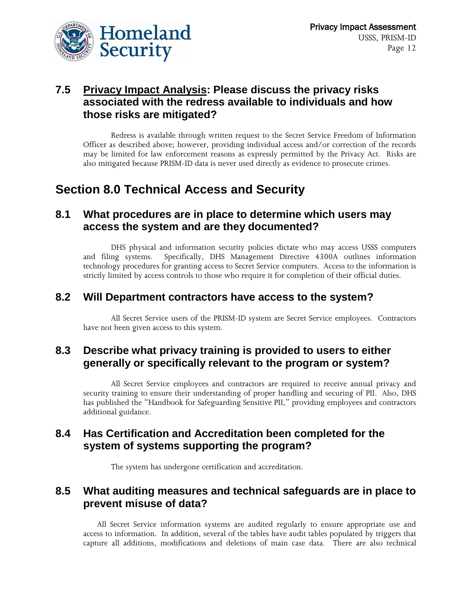

#### **7.5 Privacy Impact Analysis: Please discuss the privacy risks associated with the redress available to individuals and how those risks are mitigated?**

Redress is available through written request to the Secret Service Freedom of Information Officer as described above; however, providing individual access and/or correction of the records may be limited for law enforcement reasons as expressly permitted by the Privacy Act. Risks are also mitigated because PRISM-ID data is never used directly as evidence to prosecute crimes.

### **Section 8.0 Technical Access and Security**

#### **8.1 What procedures are in place to determine which users may access the system and are they documented?**

DHS physical and information security policies dictate who may access USSS computers and filing systems. Specifically, DHS Management Directive 4300A outlines information technology procedures for granting access to Secret Service computers. Access to the information is strictly limited by access controls to those who require it for completion of their official duties.

#### **8.2 Will Department contractors have access to the system?**

All Secret Service users of the PRISM-ID system are Secret Service employees. Contractors have not been given access to this system.

#### **8.3 Describe what privacy training is provided to users to either generally or specifically relevant to the program or system?**

All Secret Service employees and contractors are required to receive annual privacy and security training to ensure their understanding of proper handling and securing of PII. Also, DHS has published the "Handbook for Safeguarding Sensitive PII," providing employees and contractors additional guidance.

#### **8.4 Has Certification and Accreditation been completed for the system of systems supporting the program?**

The system has undergone certification and accreditation.

#### **8.5 What auditing measures and technical safeguards are in place to prevent misuse of data?**

All Secret Service information systems are audited regularly to ensure appropriate use and access to information. In addition, several of the tables have audit tables populated by triggers that capture all additions, modifications and deletions of main case data. There are also technical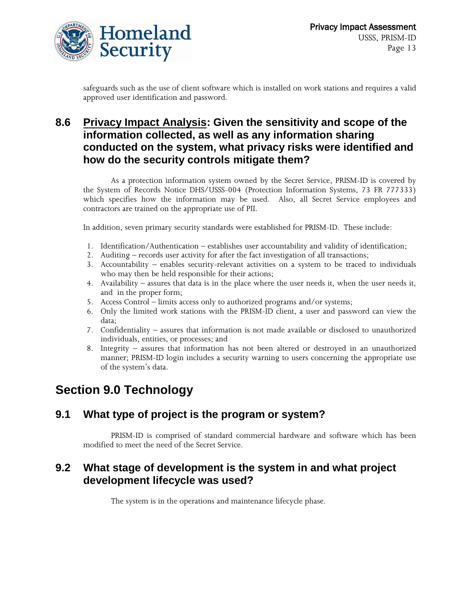

safeguards such as the use of client software which is installed on work stations and requires a valid approved user identification and password.

#### **8.6 Privacy Impact Analysis: Given the sensitivity and scope of the information collected, as well as any information sharing conducted on the system, what privacy risks were identified and how do the security controls mitigate them?**

As a protection information system owned by the Secret Service, PRISM-ID is covered by the System of Records Notice DHS/USSS-004 (Protection Information Systems, 73 FR 777333) which specifies how the information may be used. Also, all Secret Service employees and contractors are trained on the appropriate use of PII.

In addition, seven primary security standards were established for PRISM-ID. These include:

- 1. Identification/Authentication establishes user accountability and validity of identification;
- 2. Auditing records user activity for after the fact investigation of all transactions;
- 3. Accountability enables security-relevant activities on a system to be traced to individuals who may then be held responsible for their actions;
- 4. Availability assures that data is in the place where the user needs it, when the user needs it, and in the proper form;
- 5. Access Control limits access only to authorized programs and/or systems;
- 6. Only the limited work stations with the PRISM-ID client, a user and password can view the data;
- 7. Confidentiality assures that information is not made available or disclosed to unauthorized individuals, entities, or processes; and
- 8. Integrity assures that information has not been altered or destroyed in an unauthorized manner; PRISM-ID login includes a security warning to users concerning the appropriate use of the system's data.

### **Section 9.0 Technology**

#### **9.1 What type of project is the program or system?**

PRISM-ID is comprised of standard commercial hardware and software which has been modified to meet the need of the Secret Service.

#### **9.2 What stage of development is the system in and what project development lifecycle was used?**

The system is in the operations and maintenance lifecycle phase.